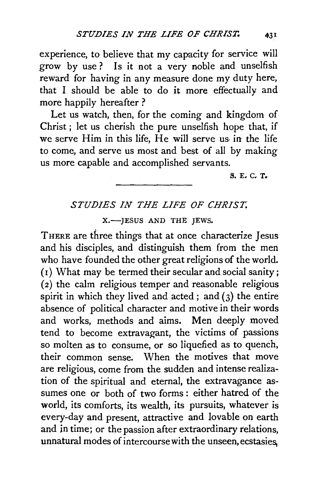experience, to believe that my capacity for service will grow by use ? Is it not a very noble and unselfish reward for having in any measure done my duty here, that I should be able to do it more effectually and more happily hereafter ?

Let us watch, then, for the coming and kingdom of Christ ; let us cherish the pure unselfish hope that, if we serve Him in this life. He will serve us in the life to come, and serve us most and best of all by making us more capable and accomplished servants.

S. E. C. T.

## *STUDIES IN THE LIFE OF CHRIST.*

X.-JESUS AND THE JEWS.

THERE are three things that at once characterize Jesus and his disciples, and distinguish them from the men who have founded the other great religions of the world. ( 1) What may be termed their secular and social sanity ; ( 2) the calm religious temper and reasonable religious spirit in which they lived and acted; and  $(3)$  the entire absence of political character and motive in their words and works, methods and aims. Men deeply moved tend to become extravagant, the victims of passions so molten as to consume, or so liquefied as to quench, their common sense. When the motives that move are religious, come from the sudden and intense realization of the spiritual and eternal, the extravagance assumes one or both of two forms : either hatred of the world, its comforts, its wealth, its pursuits, whatever is every-day and present, attractive and lovable on earth and in time; or the passion after extraordinary relations, unnatural modes of intercourse with the unseen, ecstasies,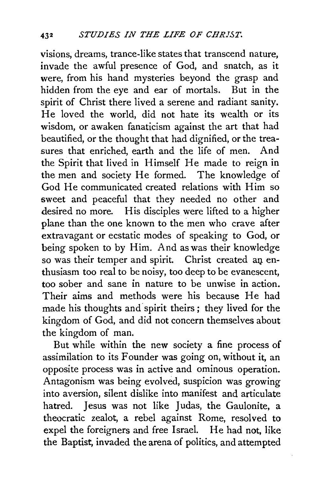visions, dreams, trance-like states that transcend nature, invade the awful presence of God, and snatch, as it were, from his hand mysteries beyond the grasp and hidden from the eye and ear of mortals. But in the spirit of Christ there lived a serene and radiant sanity. He loved the world, did not hate its wealth or its wisdom, or awaken fanaticism against the art that had beautified, or the thought that had dignified, or the treasures that enriched, earth and the life of men. And the Spirit that lived in Himself He made to reign in the men and society He formed. The knowledge of God He communicated created relations with Him so sweet and peaceful that they needed no other and desired no more. His disciples were lifted to a higher plane than the one known to the men who crave after extravagant or ecstatic modes of speaking to God, or being spoken to by Him. And as was their knowledge so was their temper and spirit. Christ created an enthusiasm too real to be noisy, too deep to be evanescent, too sober and sane in nature to be unwise in action. Their aims and methods were his because He had made his thoughts and spirit theirs; they lived for the kingdom of God, and did not concern themselves about the kingdom of man.

But while within the new society a fine process of assimilation to its Founder was going on, without it, an opposite process was in active and ominous operation. Antagonism was being evolved, suspicion was growing into aversion, silent dislike into manifest and articulate hatred. Jesus was not like Judas, the Gaulonite, a theocratic zealot, a rebel against Rome, resolved to expel the foreigners and free Israel. He had not, like the Baptist, invaded the arena of politics, and attempted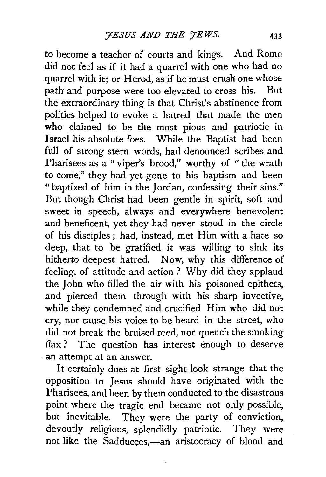to become a teacher of courts and kings. And Rome did not feel as if it had a quarrel with one who had no quarrel with it; or Herod, as if he must crush one whose path and purpose were too elevated to cross his. But the extraordinary thing is that Christ's abstinence from politics helped to evoke a hatred that made the men who claimed to be the most pious and patriotic in Israel his absolute foes. While the Baptist had been full of strong stern words, had denounced scribes and Pharisees as a " viper's brood," worthy of " the wrath to come," they had yet gone to his baptism and been "baptized of him in the Jordan, confessing their sins." But though Christ had been gentle in spirit, soft and sweet in speech, always and everywhere benevolent and beneficent, yet they had never stood in the circle of his disciples; had, instead, met Him with a hate so deep, that to be gratified it was willing to sink its hitherto deepest hatred. Now, why this difference of feeling, of attitude and action ? Why did they applaud the John who filled the air with his poisoned epithets, and pierced them through with his sharp invective, while they condemned and crucified Him who did not cry, nor cause his voice to be heard in the street, who did not break the bruised reed, nor quench the smoking flax ? The question has interest enough to deserve · an attempt at an answer.

It certainly does at first sight look strange that the opposition to Jesus should have originated with the Pharisees, and been by them conducted to the disastrous point where the tragic end became not only possible, but inevitable. They were the party of conviction, devoutly religious, splendidly patriotic. They were not like the Sadducees,-an aristocracy of blood and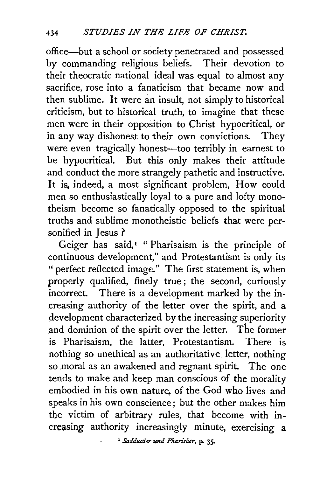office-but a school or society penetrated and possessed by commanding religious beliefs. Their devotion to their theocratic national ideal was equal to almost any sacrifice, rose into a fanaticism that became now and then sublime. It were an insult, not simply to historical criticism, but to historical truth, to imagine that these men were in their opposition to Christ hypocritical, or in any way dishonest to their own convictions. They were even tragically honest—too terribly in earnest to be hypocritical. But this only makes their attitude and conduct the more strangely pathetic and instructive. It is, indeed, a most significant problem, How could men so enthusiastically loyal to a pure and lofty monotheism become so fanatically opposed to the spiritual truths and sublime monotheistic beliefs that were personified in Jesus ?

Geiger has said, $I$  " Pharisaism is the principle of continuous development," and Protestantism is only its " perfect reflected image." The first statement is, when properly qualified, finely true; the second, curiously incorrect. There is a development marked by the in-There is a development marked by the increasing authority of the letter over the spirit, and a development characterized by the increasing superiority and dominion of the spirit over the letter. The former is Pharisaism, the latter, Protestantism. There is nothing so unethical as an authoritative letter, nothing so moral as an awakened and regnant spirit. The one tends to make and keep man conscious of the morality embodied in his own nature, of the God who lives and speaks in his own conscience; but the other makes him the victim of arbitrary rules, that become with increasing authority increasingly minute, exercising a

• *Sadducaer* tmd *Pkarisiier,* p. 35·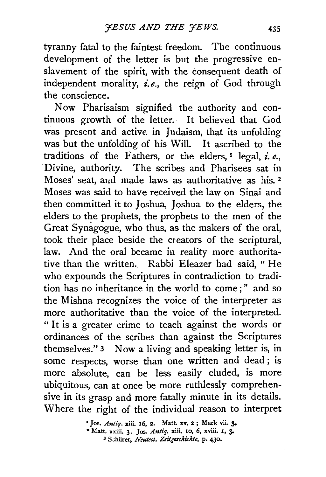tyranny fatal to the faintest freedom. The continuous development of the letter is but the progressive enslavement of the spirit, with the consequent death of independent morality, *i.e.,* the reign of God through the conscience.

Now Pharisaism signified the authority and continuous growth of the letter. It believed that God was present and active in Judaism, that its unfolding was but the unfolding of his Will. It ascribed to the traditions of the Fathers, or the elders,  $I$  legal,  $i$ ,  $e$ . ·Divine, authority. The scribes and Pharisees sat in Moses' seat, and made laws as authoritative as his. 2 Moses was said to have received the law on Sinai and then committed it to Joshua, Joshua to the elders, the elders to the prophets, the prophets to the men of the Great Synagogue, who thus, as the makers of the oral, took their place beside the creators of the scriptural, law. And the oral became in reality more authoritative than the written. Rabbi Eleazer had said, "He who expounds the Scriptures in contradiction to tradition has no inheritance in the world to come ; " and so the Mishna recognizes the voice of the interpreter as more authoritative than the voice of the interpreted. " It is a greater crime to teach against the words or ordinances of the scribes than against the Scriptures themselves." 3 Now a living and speaking letter is, in some respects, worse than one written and dead ; is more absolute, can be less easily eluded, is more ubiquitous, can at once be more ruthlessly comprehensive in its grasp and more fatally minute in its details. Where the right of the individual reason to interpret

> • Jos. *Antiq.* xiii. 16, 2. Matt. xv. 2; Mark vii. 3o • Matt. xxiii. 3· Jos. *Antiq.* xiii. 10, 6, xviii. 1, 3- <sup>3</sup> Schürer, *Neutest. Zeitgeschichte*, p. 430.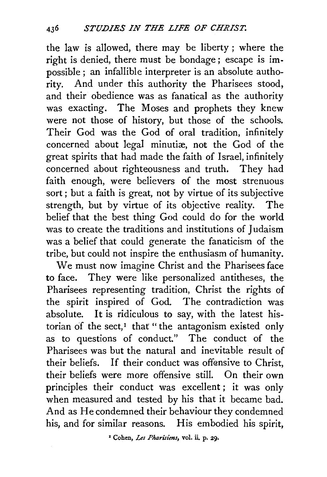the law is allowed, there may be liberty ; where the right is denied, there must be bondage; escape is impossible ; an infallible interpreter is an absolute authority. And under this authority the Pharisees stood, and their obedience was as fanatical as the authority was exacting. The Moses and prophets they knew were not those of history, but those of the schools. Their God was the God of oral tradition, infinitely concerned about legal minutiæ, not the God of the great spirits that had made the faith of Israel, infinitely concerned about righteousness and truth. They had faith enough, were believers of the most strenuous sort; but a faith is great, not by virtue of its subjective strength, but by virtue of its objective reality. The belief that the best thing God could do for the world was to create the traditions and institutions of Judaism was a belief that could generate the fanaticism of the tribe, but could not inspire the enthusiasm of humanity.

We must now imagine Christ and the Pharisees face to face. They were like personalized antitheses, the Pharisees representing tradition, Christ the rights of the spirit inspired of God. The contradiction was absolute. It is ridiculous to say, with the latest historian of the sect, $<sup>I</sup>$  that " the antagonism existed only</sup> as to questions of conduct." The conduct of the Pharisees was but the natural and inevitable result of their beliefs. If their conduct was offensive to Christ. their beliefs were more offensive still. On their own principles their conduct was excellent ; it was only when measured and tested by his that it became bad. And as He condemned their behaviour they condemned his, and for similar reasons. His embodied his spirit,

1 Cohen, *Les Pharisims,* vol. ii. p. 29.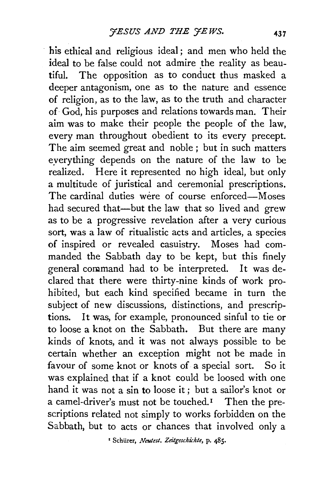his ethical and religious ideal ; and men who held the ideal to be false could not admire the reality as beautiful. The opposition as to conduct thus masked a deeper antagonism, one as to the nature and essence of religion, as to the law, as to the truth and character of· God, his purposes and relations towards man. Their aim was to make their people the people of the law, every man throughout obedient to its every precept. The aim seemed great and noble ; but in such matters eyerything depends on the nature of the law to be realized. Here it represented no high ideal, but only a multitude of juristical and ceremonial prescriptions. The cardinal duties were of course enforced-Moses had secured that-but the law that so lived and grew as to be a progressive revelation after a very curious sort, was a law of ritualistic acts and articles, a species of inspired or revealed casuistry. Moses had commanded the Sabbath day to be kept, but this finely general command had to be interpreted. It was declared that there were thirty-nine kinds of work prohibited, but each kind specified became in turn the subject of new discussions, distinctions, and prescriptions. It was, for example, pronounced sinful to tie or to loose a knot on the Sabbath. But there are many kinds of knots, and it was not always possible to be certain whether an exception might not be made in favour of some knot or knots of a special sort. So it was explained that if a knot could be loosed with one hand it was not a sin to loose it; but a sailor's knot or a camel-driver's must not be touched.<sup> $I$ </sup> Then the prescriptions related not simply to works forbidden on the Sabbath, but to acts or chances that involved only a

1 Schiirer, *Neutest. Zeitgeschichte,* p. 485.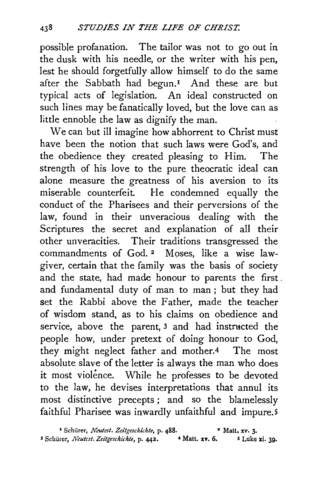possible profanation. The tailor was not to go out in the dusk with his needle, or the writer with his pen, lest he should forgetfully allow himself to do the same after the Sabbath had begun.<sup>1</sup> And these are but typical acts of legislation. An ideal constructed on such lines may be fanatically loved, but the love can as little ennoble the law as dignify the man.

We can but ill imagine how abhorrent to Christ must have been the notion that such laws were God's, and the obedience they created pleasing to Him. The strength of his love to the pure theocratic ideal can alone measure the greatness of his aversion to its miserable counterfeit. He condemned equally the conduct of the Pharisees and their perversions of the law, found in their unveracious dealing with the Scriptures the secret and explanation of all their other unveracities. Their traditions transgressed the commandments of God. 2 Moses, like a wise lawgiver, certain that the family was the basis of society and the state, had made honour to parents the first . and fundamental duty of man to man; but they had set the Rabbi above the Father, made the teacher of wisdom stand, as to his claims on obedience and service, above the parent, 3 and had instructed the people how, under pretext of doing honour to God, they might neglect father and mother.4 The most absolute slave of the letter is always the man who does it most violence. While he professes to be devoted to the law, he devises interpretations that annul its most distinctive precepts ; and so the blamelessly faithful Pharisee was inwardly unfaithful and impure.5

<sup>1</sup> Schürer, *Neutest. Zeitgeschichte*, p. 488. <sup>•</sup> Matt. xv. 3. <sup>3</sup> Schürer, *Neutcst. Zeitgeschichte*, p. 442. 4 Matt. xv. 6. 5 Luke xi. 39.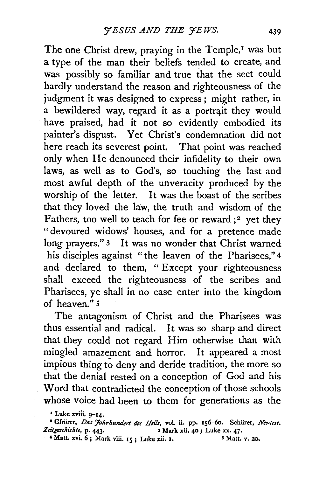The one Christ drew, praying in the Temple,<sup>1</sup> was but a type of the man their beliefs tended to create, and was possibly so familiar and true that the sect could hardly understand the reason and righteousness of the judgment it was designed to express; might rather, in a bewildered way, regard it as a portrait they would have praised, had it not so evidently embodied its painter's disgust. Yet Christ's condemnation did not here reach its severest point. That point was reached only when He denounced their infidelity to their own laws, as well as to God's, so touching the last and most awful depth of the unveracity produced by the worship of the letter. It was the boast of the scribes that they loved the law, the truth and wisdom of the Fathers, too well to teach for fee or reward *;*<sup>2</sup> yet they "devoured widows' houses, and for a pretence made long prayers." 3 It was no wonder that Christ warned his disciples against " the leaven of the Pharisees," 4 and declared to them, " Except your righteousness shall exceed the righteousness of the scribes and Pharisees, ye shall in no case enter into the kingdom of heaven." 5

The antagonism of Christ and the Pharisees was thus essential and radical. It was so sharp and direct that they could not regard Him otherwise than with mingled amazement and horror. It appeared a most impious thing to deny and deride tradition, the more so that the denial rested on a conception of God and his Word that contradicted the conception of those schools whose voice had been to them for generations as the

• Matt. xvi. 6; Mark viii. 15; Luke xii. 1.

<sup>&</sup>lt;sup>1</sup> Luke xviii. 9-14.

<sup>&</sup>lt;sup>•</sup> Gfrörer, *Das Jahrhundert des Heils*, vol. ii. pp. 156-60. Schürer, *Neutest. Zeitgeschichte*, p. 443. <sup>3</sup> Mark xii. 40; Luke xx. 47.<br>xii. 1. <sup>5</sup> Matt. y. 20.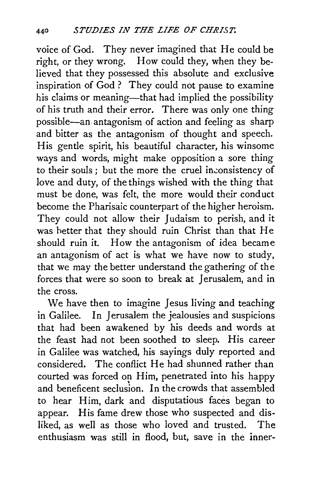voice of God. They never imagined that He could be right, or they wrong. How could they, when they believed that they possessed this absolute and exclusive inspiration of God ? They could not pause to examine his claims or meaning—that had implied the possibility of his truth and their error. There was only one thing possible-an antagonism of action and feeling as sharp and bitter as the antagonism of thought and speech. His gentle spirit, his beautiful character, his winsome ways and words, might make opposition a sore thing to their souls; but the more the cruel inconsistency of love and duty, of the things wished with the thing that must be done, was felt, the more would their conduct become the Pharisaic counterpart of the higher heroism. They could not allow their Judaism to perish, and it was better that they should ruin Christ than that He should ruin it. How the antagonism of idea became an antagonism of act is what we have now to study, that we may the better understand the gathering of the forces that were so soon to break at Jerusalem, and in the cross.

We have then to imagine Jesus living and teaching in Galilee. In Jerusalem the jealousies and suspicions that had been awakened by his deeds and words at the feast had not been soothed to sleep. His career in Galilee was watched, his sayings duly reported and considered. The conflict He had shunned rather than courted was forced on Him, penetrated into his happy and beneficent seclusion. In the crowds that assembled to hear Him, dark and disputatious faces began to appear. His fame drew those who suspected and disliked, as well as those who loved and trusted. The enthusiasm was still in flood, but, save in the inner-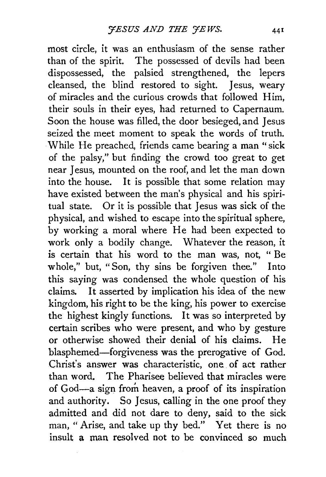most circle, it was an enthusiasm of the sense rather than of the spirit. The possessed of devils had been dispossessed, the palsied strengthened, the lepers cleansed, the blind restored to sight. Jesus, weary of miracles and the curious crowds that followed Him, their souls in their eyes, had returned to Capernaum. Soon the house was filled, the door besieged, and Jesus seized the meet moment to speak the words of truth. While He preached, friends came bearing a man "sick of the palsy," but finding the crowd too great to get near Jesus, mounted on the roof, and let the man down into the house. It is possible that some relation may have existed between the man's physical and his spiritual state. Or it is possible that Jesus was sick of the physical, and wished to escape into the spiritual sphere, by working a moral where He had been expected to work only a bodily change. Whatever the reason, it is certain that his word to the man was, not, " Be whole," but, "Son, thy sins be forgiven thee." Into this saying was condensed the whole question of his claims. It asserted by implication his idea of the new kingdom, his right to be the king, his power to exercise the highest kingly functions. It was so interpreted by certain scribes who were present, and who by gesture or otherwise showed their denial of his claims. He blasphemed-forgiveness was the prerogative of God. Christ's answer was characteristic, one of act rather than word. The Pharisee believed that miracles were of God-a sign from heaven, a proof of its inspiration and authority. So Jesus, calling in the one proof they admitted and did not dare to deny, said to the sick man, "Arise, and take up thy bed." Yet there is no insult a man resolved not to be convinced so much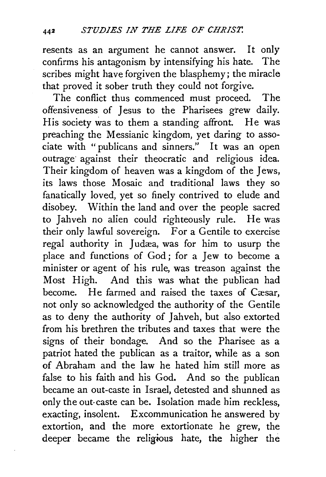resents as an argument he cannot answer. It only confirms his antagonism by intensifying his hate. The scribes might have forgiven the blasphemy; the miracle that proved it sober truth they could not forgive.

The conflict thus commenced must proceed. The offensiveness of Jesus to the Pharisees grew daily. His society was to them a standing affront. He was preaching the Messianic kingdom, yet daring to associate with " publicans and sinners." It was an open outrage· against their theocratic and religious idea. Their kingdom of heaven was a kingdom of the *Jews,*  its laws those Mosaic and traditional laws they so fanatically loved, yet so finely contrived to elude and disobey. Within the land and over the people sacred to Jahveh no alien could righteously rule. He was their only lawful sovereign. For a Gentile to exercise regal authority in Judæa, was for him to usurp the place and functions of God ; for a Jew to become a minister or agent of his rule, was treason against the Most High. And this was what the publican had become. He farmed and raised the taxes of Cæsar, not only so acknowledged the authority of the Gentile as to deny the authority of Jahveh, but also extorted from his brethren the tributes and taxes that were the signs of their bondage. And so the Pharisee as a patriot hated the publican as a traitor, while as a son of Abraham and the law he hated him still more as false to his faith and his God. And so the publican became an out-caste in Israel, detested and shunned as only the out-caste can be. Isolation made him reckless, exacting, insolent. Excommunication he answered by extortion, and the more extortionate he grew, the deeper became the religious hate, the higher the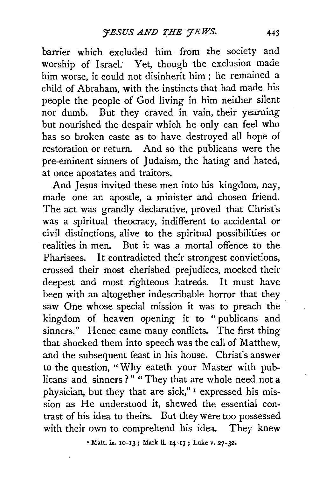barrier which excluded him from the society and worship of Israel. Yet, though the exclusion made him worse, it could not disinherit him ; he remained a child of Abraham, with the instincts that had made his people the people of God living in him neither silent nor dumb. But they craved in vain, their yearning but nourished the despair which he only can feel who has so broken caste as to have destroyed all hope of restoration or return. And so the publicans were the pre-eminent sinners of Judaism, the hating and hated, at once apostates and traitors.

And Jesus invited these men into his kingdom, nay, made one an apostle, a minister and chosen friend. The act was grandly declarative, proved that Christ's was a spiritual theocracy, indifferent to accidental or civil distinctions, alive to the spiritual possibilities or realities in men. But it was a mortal offence to the Pharisees. It contradicted their strongest convictions, crossed their most cherished prejudices, mocked their deepest and most righteous hatreds. It must have been with an altogether indescribable horror that they saw One whose special mission it was to preach the kingdom of heaven opening it to "publicans and sinners." Hence came many conflicts. The first thing that shocked them into speech was the call of Matthew, and the subsequent feast in his house. Christ's answer to the question, "Why eateth your Master with publicans and sinners?" "They that are whole need not a physician, but they that are sick," 1 expressed his mission as He understood it, shewed the essential contrast of his idea to theirs. But they were too possessed with their own to comprehend his idea. They knew

1 Matt. ix. 1o-13; Mark ii 14-17; Luke v. 27-32.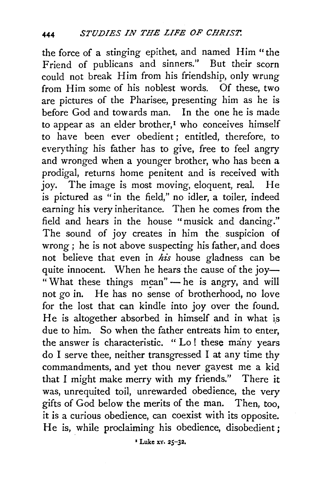the force of a stinging epithet, and named Him "the Friend of publicans and sinners." But their scorn could not break Him from his friendship, only wrung from Him some of his noblest words. Of these, two are pictures of the Pharisee, presenting him as he is before God and towards man. In the one he is made to appear as an elder brother,<sup>1</sup> who conceives himself to have been ever obedient; entitled, therefore, to everything his father has to give, free to feel angry and wronged when a younger brother, who has been a prodigal, returns home penitent and is received with joy. The image is most moving, eloquent, real. He is pictured as "in the field," no idler, a toiler, indeed earning his very inheritance. Then he comes from the field and hears in the house "musick and dancing." The sound of joy creates in him the suspicion of wrong ; he is not above suspecting his father, and does not believe that even in his house gladness can be quite innocent. When he hears the cause of the joy-" What these things mean" -he is angry, and will not go in. He has no sense of brotherhood, no love for the lost that can kindle into joy over the found. He is altogether absorbed in himself and in what is due to him. So when the father entreats him to enter, the answer is characteristic. "Lo! these many years do I serve thee, neither transgressed I at any time thy commandments, and yet thou never gayest me a kid that I might make merry with my friends." There it was, unrequited toil, unrewarded obedience, the very gifts of God below the merits of the man. Then, too, it is a curious obedience, can coexist with its opposite. He is, while proclaiming his obedience, disobedient;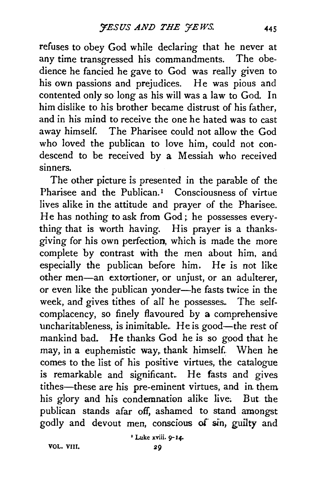refuses to obey God while declaring that he never at any time transgressed his commandments. The obedience he fancied he gave to God was really given to his own passions and prejudices. He was pious and contented only so long as his will was a law to God. In him dislike to his brother became distrust of his father, and in his mind to receive the one he hated was to cast away himself. The Pharisee could not allow the God who loved the publican to love him, could not condescend to be received by a Messiah who received sinners.

The other picture is presented in the parable of the Pharisee and the Publican.<sup>1</sup> Consciousness of virtue lives alike in the attitude and prayer of the Pharisee. He has nothing to ask from God; he possesses everything that is worth having. His prayer is a thanksgiving for his own perfection, which is made the more complete by contrast with the men about him, and especially the publican before him. He is not like other men-an extortioner, or unjust, or an adulterer, or even like the publican yonder-he fasts twice in the week, and gives tithes of alf he possesses. The selfcomplacency, so finely flavoured by a comprehensive uncharitableness, is inimitable. He is good-the rest of mankind bad. He thanks God he is so good that he may, in a euphemistic way, thank himself. When he comes to the list of his positive virtues, the catalogue is remarkable and significant. He fasts and gives tithes-these are his pre-eminent virtues, and in them his glory and his condemnation alike live. But the publican stands afar off, ashamed to stand amongst godly and devout men, conscious of sin, guilty and

'Luke xviil. 9-14-

VOL. VIII.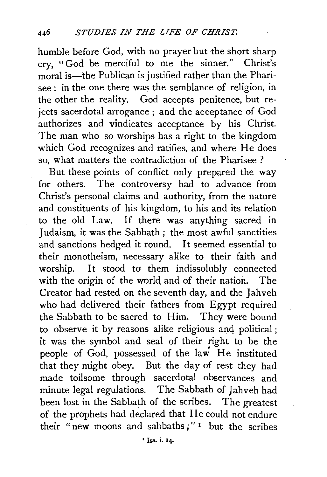humble before God, with no prayer but the short sharp cry, "God be merciful to me the sinner." Christ's moral is—the Publican is justified rather than the Pharisee : in the one there was the semblance of religion, in the other the reality. God accepts penitence, but rejects sacerdotal arrogance ; and the acceptance of God authorizes and vindicates acceptance by his Christ. The man who so worships has a right to the kingdom which God recognizes and ratifies, and where He does so, what matters the contradiction of the Pharisee ?

But these points of conflict only prepared the way for others. The controversy had to advance from Christ's personal claims and authority, from the nature and constituents of his kingdom, to his and its relation to the old Law. If there was anything sacred in J udaism, it was the Sabbath ; the most awful sanctities and sanctions hedged it round. It seemed essential to their monotheism, necessary alike to their faith and worship. It stood to' them indissolubly connected with the origin of the world and of their nation. The Creator had rested on the seventh day, and the Jahveh who had delivered their fathers from Egypt required the Sabbath to be sacred to Him. They were bound to observe it by reasons alike religious and political; it was the symbol and seal of their right to be the people of God, possessed of the law He instituted that they might obey. But the day of rest they had made toilsome through sacerdotal observances and minute legal regulations. The Sabbath of Jahveh had been lost in the Sabbath of the scribes. The greatest of the prophets had declared that He could not endure their "new moons and sabbaths;" 1 but the scribes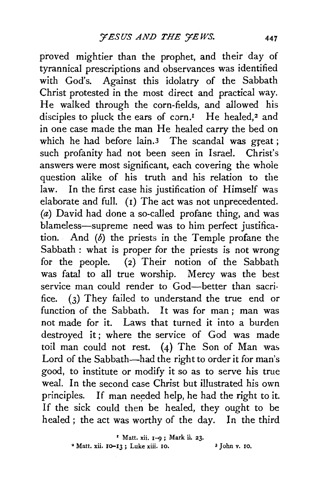proved mightier than the prophet, and their day of tyrannical prescriptions and observances was identified with God's. Against this idolatry of the Sabbath Christ protested in the most direct and practical way. He walked through the corn-fields, and allowed his disciples to pluck the ears of corn.<sup>1</sup> He healed,<sup>2</sup> and in one case made the man He healed carry the bed on which he had before lain.<sup>3</sup> The scandal was great; such profanity had not been seen in Israel. Christ's answers were most significant, each covering the whoie question alike of his truth and his relation to the law. In the first case his justification of Himself was elaborate and full. (r) The act was not unprecedented. (a) David had done a so-called profane thing, and was blameless-supreme need was to him perfect justification. And  $(b)$  the priests in the Temple profane the Sabbath : what is proper for the priests is not wrong for the people. (2) Their notion of the Sabbath was fatal to all true worship. Mercy was the best service man could render to God-better than sacrifice. (3) They failed to understand the true end or function of the Sabbath. It was for man ; man was not made for it. Laws that turned it into a burden destroyed it; where the service of God was made toil man could not rest. (4) The Son of Man was Lord of the Sabbath-had the right to order it for man's good, to institute or modify it so as to serve his true weal. In the second case Christ but illustrated his own principles. If man needed help, he had the right to it. If the sick could then be healed, they ought to be healed; the act was worthy of the day. In the third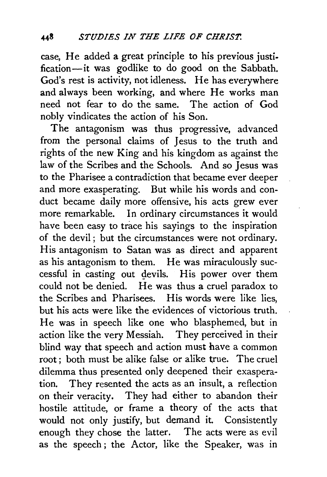case, He added a great principle to his previous justification-it was godlike to do good on the Sabbath. God's rest is activity, not idleness. He has everywhere and always been working, and where He works man need not fear to do the same. The action of God nobly vindicates the action of his Son.

The antagonism was thus progressive, advanced from the personal claims of Jesus to the truth and rights of the new King and his kingdom as against the law of the Scribes and the Schools. And so Jesus was to the Pharisee a contradiction that became ever deeper and more exasperating. But while his words and conduct became daily more offensive, his acts grew ever more remarkable. In ordinary circumstances it would have been easy to trace his sayings to the inspiration of the devil ; but the circumstances were not ordinary. His antagonism to Satan was as direct and apparent as his antagonism to them. He was miraculously successful in casting out devils. His power over them could not be denied. He was thus a cruel paradox to the Scribes and Pharisees. His words were like lies, but his acts were like the evidences of victorious truth. He was in speech like one who blasphemed, but in action like the very Messiah. They perceived in their blind way that speech and action must have a common root ; both must be alike false or alike true. The cruel dilemma thus presented only deepened their exasperation. They resented the acts as an insult, a reflection on their veracity. They had either to abandon their hostile attitude, or frame a theory of the acts that would not only justify, but demand it. Consistently enough they chose the latter. The acts were as evil as the speech ; the Actor, like the Speaker, was in